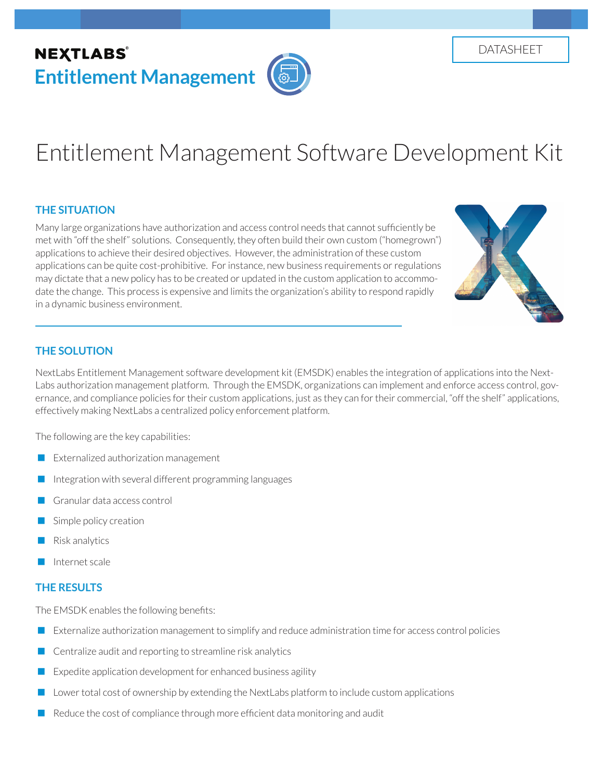# **NEXTLABS® Entitlement Management**

# Entitlement Management Software Development Kit

## **THE SITUATION**

Many large organizations have authorization and access control needs that cannot sufficiently be met with "off the shelf" solutions. Consequently, they often build their own custom ("homegrown") applications to achieve their desired objectives. However, the administration of these custom applications can be quite cost-prohibitive. For instance, new business requirements or regulations may dictate that a new policy has to be created or updated in the custom application to accommodate the change. This process is expensive and limits the organization's ability to respond rapidly in a dynamic business environment.



#### **THE SOLUTION**

NextLabs Entitlement Management software development kit (EMSDK) enables the integration of applications into the Next-Labs authorization management platform. Through the EMSDK, organizations can implement and enforce access control, governance, and compliance policies for their custom applications, just as they can for their commercial, "off the shelf" applications, effectively making NextLabs a centralized policy enforcement platform.

The following are the key capabilities:

- **EXTER** Externalized authorization management
- Integration with several different programming languages
- Granular data access control
- Simple policy creation
- Risk analytics
- Internet scale

## **THE RESULTS**

The EMSDK enables the following benefits:

- Externalize authorization management to simplify and reduce administration time for access control policies
- Centralize audit and reporting to streamline risk analytics
- Expedite application development for enhanced business agility
- Lower total cost of ownership by extending the NextLabs platform to include custom applications
- $\blacksquare$  Reduce the cost of compliance through more efficient data monitoring and audit